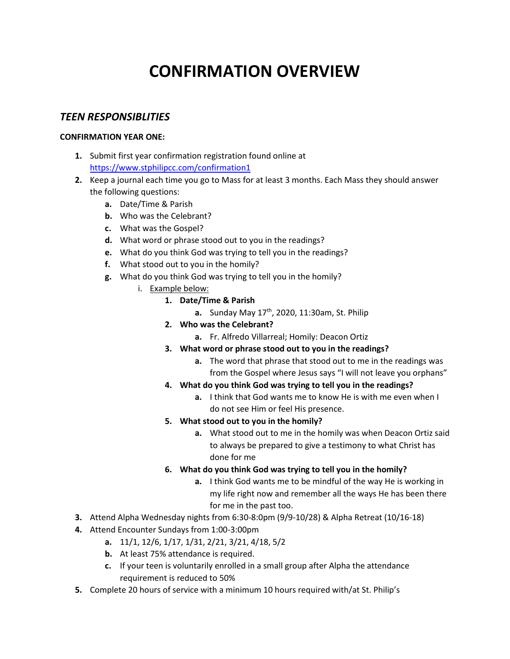# **CONFIRMATION OVERVIEW**

### *TEEN RESPONSIBLITIES*

#### **CONFIRMATION YEAR ONE:**

- **1.** Submit first year confirmation registration found online at [https://www.stphilipcc.com/confirmation1](https://www.stphilipcc.com/_modules/form.php?id=95)
- **2.** Keep a journal each time you go to Mass for at least 3 months. Each Mass they should answer the following questions:
	- **a.** Date/Time & Parish
	- **b.** Who was the Celebrant?
	- **c.** What was the Gospel?
	- **d.** What word or phrase stood out to you in the readings?
	- **e.** What do you think God was trying to tell you in the readings?
	- **f.** What stood out to you in the homily?
	- **g.** What do you think God was trying to tell you in the homily?
		- i. Example below:
			- **1. Date/Time & Parish**
				- **a.** Sunday May 17<sup>th</sup>, 2020, 11:30am, St. Philip
				- **2. Who was the Celebrant?** 
					- **a.** Fr. Alfredo Villarreal; Homily: Deacon Ortiz
				- **3. What word or phrase stood out to you in the readings?**
					- **a.** The word that phrase that stood out to me in the readings was from the Gospel where Jesus says "I will not leave you orphans"
				- **4. What do you think God was trying to tell you in the readings?** 
					- **a.** I think that God wants me to know He is with me even when I do not see Him or feel His presence.
				- **5. What stood out to you in the homily?**
					- **a.** What stood out to me in the homily was when Deacon Ortiz said to always be prepared to give a testimony to what Christ has done for me
				- **6. What do you think God was trying to tell you in the homily?**
					- **a.** I think God wants me to be mindful of the way He is working in my life right now and remember all the ways He has been there for me in the past too.
- **3.** Attend Alpha Wednesday nights from 6:30-8:0pm (9/9-10/28) & Alpha Retreat (10/16-18)
- **4.** Attend Encounter Sundays from 1:00-3:00pm
	- **a.** 11/1, 12/6, 1/17, 1/31, 2/21, 3/21, 4/18, 5/2
	- **b.** At least 75% attendance is required.
	- **c.** If your teen is voluntarily enrolled in a small group after Alpha the attendance requirement is reduced to 50%
- **5.** Complete 20 hours of service with a minimum 10 hours required with/at St. Philip's